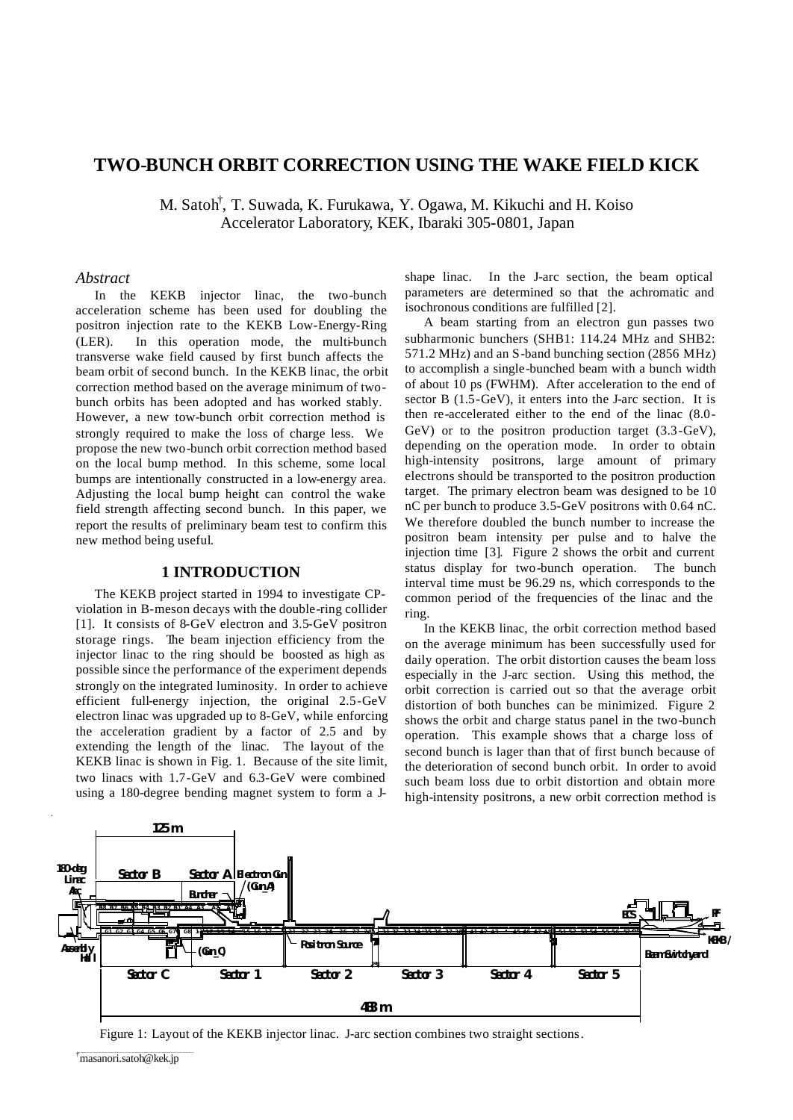## **TWO-BUNCH ORBIT CORRECTION USING THE WAKE FIELD KICK**

M. Satoh<sup>†</sup>, T. Suwada, K. Furukawa, Y. Ogawa, M. Kikuchi and H. Koiso Accelerator Laboratory, KEK, Ibaraki 305-0801, Japan

#### *Abstract*

In the KEKB injector linac, the two-bunch acceleration scheme has been used for doubling the positron injection rate to the KEKB Low-Energy-Ring (LER). In this operation mode, the multi-bunch transverse wake field caused by first bunch affects the beam orbit of second bunch. In the KEKB linac, the orbit correction method based on the average minimum of twobunch orbits has been adopted and has worked stably. However, a new tow-bunch orbit correction method is strongly required to make the loss of charge less. We propose the new two-bunch orbit correction method based on the local bump method. In this scheme, some local bumps are intentionally constructed in a low-energy area. Adjusting the local bump height can control the wake field strength affecting second bunch. In this paper, we report the results of preliminary beam test to confirm this new method being useful.

#### **1 INTRODUCTION**

The KEKB project started in 1994 to investigate CPviolation in B-meson decays with the double-ring collider [1]. It consists of 8-GeV electron and 3.5-GeV positron storage rings. The beam injection efficiency from the injector linac to the ring should be boosted as high as possible since the performance of the experiment depends strongly on the integrated luminosity. In order to achieve efficient full-energy injection, the original 2.5-GeV electron linac was upgraded up to 8-GeV, while enforcing the acceleration gradient by a factor of 2.5 and by extending the length of the linac. The layout of the KEKB linac is shown in Fig. 1. Because of the site limit, two linacs with 1.7-GeV and 6.3-GeV were combined using a 180-degree bending magnet system to form a J-

shape linac. In the J-arc section, the beam optical parameters are determined so that the achromatic and isochronous conditions are fulfilled [2].

A beam starting from an electron gun passes two subharmonic bunchers (SHB1: 114.24 MHz and SHB2: 571.2 MHz) and an S-band bunching section (2856 MHz) to accomplish a single-bunched beam with a bunch width of about 10 ps (FWHM). After acceleration to the end of sector B (1.5-GeV), it enters into the J-arc section. It is then re-accelerated either to the end of the linac (8.0- GeV) or to the positron production target (3.3-GeV), depending on the operation mode. In order to obtain high-intensity positrons, large amount of primary electrons should be transported to the positron production target. The primary electron beam was designed to be 10 nC per bunch to produce 3.5-GeV positrons with 0.64 nC. We therefore doubled the bunch number to increase the positron beam intensity per pulse and to halve the injection time [3]. Figure 2 shows the orbit and current status display for two-bunch operation. The bunch interval time must be 96.29 ns, which corresponds to the common period of the frequencies of the linac and the ring.

In the KEKB linac, the orbit correction method based on the average minimum has been successfully used for daily operation. The orbit distortion causes the beam loss especially in the J-arc section. Using this method, the orbit correction is carried out so that the average orbit distortion of both bunches can be minimized. Figure 2 shows the orbit and charge status panel in the two-bunch operation. This example shows that a charge loss of second bunch is lager than that of first bunch because of the deterioration of second bunch orbit. In order to avoid such beam loss due to orbit distortion and obtain more high-intensity positrons, a new orbit correction method is



Figure 1: Layout of the KEKB injector linac. J-arc section combines two straight sections.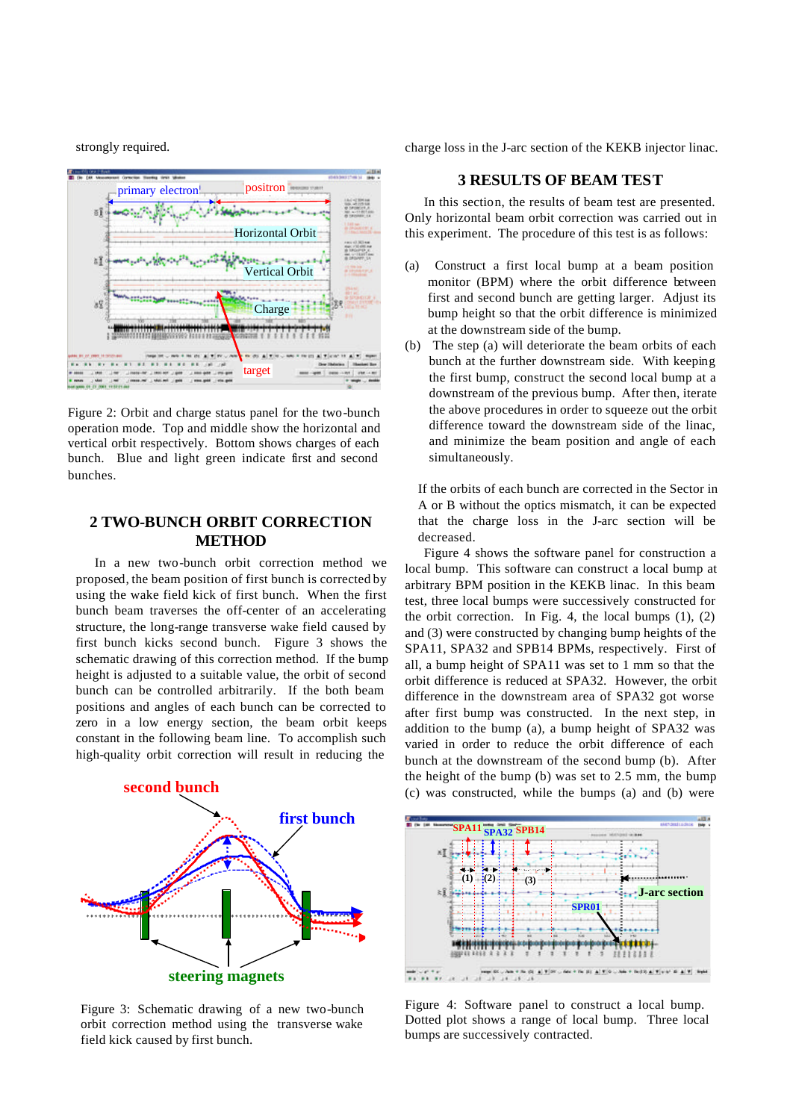strongly required.



Figure 2: Orbit and charge status panel for the two-bunch operation mode. Top and middle show the horizontal and vertical orbit respectively. Bottom shows charges of each bunch. Blue and light green indicate first and second bunches.

# **2 TWO-BUNCH ORBIT CORRECTION METHOD**

In a new two-bunch orbit correction method we proposed, the beam position of first bunch is corrected by using the wake field kick of first bunch. When the first bunch beam traverses the off-center of an accelerating structure, the long-range transverse wake field caused by first bunch kicks second bunch. Figure 3 shows the schematic drawing of this correction method. If the bump height is adjusted to a suitable value, the orbit of second bunch can be controlled arbitrarily. If the both beam positions and angles of each bunch can be corrected to zero in a low energy section, the beam orbit keeps constant in the following beam line. To accomplish such high-quality orbit correction will result in reducing the



Figure 3: Schematic drawing of a new two-bunch orbit correction method using the transverse wake field kick caused by first bunch.

charge loss in the J-arc section of the KEKB injector linac.

## **3 RESULTS OF BEAM TEST**

In this section, the results of beam test are presented. Only horizontal beam orbit correction was carried out in this experiment. The procedure of this test is as follows:

- (a) Construct a first local bump at a beam position monitor (BPM) where the orbit difference between first and second bunch are getting larger. Adjust its bump height so that the orbit difference is minimized at the downstream side of the bump.
- (b) The step (a) will deteriorate the beam orbits of each bunch at the further downstream side. With keeping the first bump, construct the second local bump at a downstream of the previous bump. After then, iterate the above procedures in order to squeeze out the orbit difference toward the downstream side of the linac, and minimize the beam position and angle of each simultaneously.

If the orbits of each bunch are corrected in the Sector in A or B without the optics mismatch, it can be expected that the charge loss in the J-arc section will be decreased.

Figure 4 shows the software panel for construction a local bump. This software can construct a local bump at arbitrary BPM position in the KEKB linac. In this beam test, three local bumps were successively constructed for the orbit correction. In Fig. 4, the local bumps  $(1)$ ,  $(2)$ and (3) were constructed by changing bump heights of the SPA11, SPA32 and SPB14 BPMs, respectively. First of all, a bump height of SPA11 was set to 1 mm so that the orbit difference is reduced at SPA32. However, the orbit difference in the downstream area of SPA32 got worse after first bump was constructed. In the next step, in addition to the bump (a), a bump height of SPA32 was varied in order to reduce the orbit difference of each bunch at the downstream of the second bump (b). After the height of the bump (b) was set to 2.5 mm, the bump (c) was constructed, while the bumps (a) and (b) were



Figure 4: Software panel to construct a local bump. Dotted plot shows a range of local bump. Three local bumps are successively contracted.